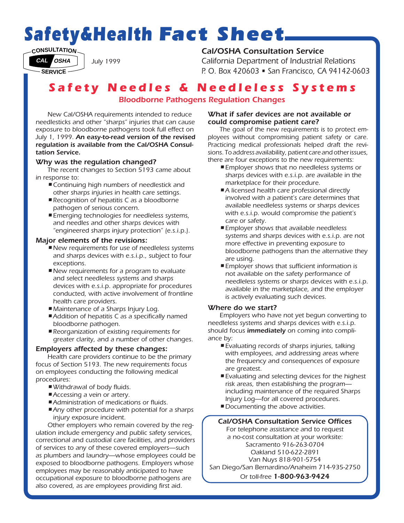# *Safety&Health Fact Sheet*

 $CD$  **CONSULTATION** 

**CAL OSHA**

**SERVICE**

# *Cal/OSHA Consultation Service*

*California Department of Industrial Relations P. O. Box 420603 • San Francisco, CA 94142-0603*

# *Safety Needles & Needleless Systems*

## *Bloodborne Pathogens Regulation Changes*

*New Cal/OSHA requirements intended to reduce needlesticks and other "sharps" injuries that can cause exposure to bloodborne pathogens took full effect on July 1, 1999. An easy-to-read version of the revised regulation is available from the Cal/OSHA Consultation Service.*

*July 1999*

#### *Why was the regulation changed?*

*The recent changes to Section 5193 came about in response to:*

- *•Continuing high numbers of needlestick and •other sharps injuries in health care settings.*
- *•Recognition of hepatitis C as a bloodborne •pathogen of serious concern.*
- *•Emerging technologies for needleless systems, •and needles and other sharps devices with •"engineered sharps injury protection" (e.s.i.p.).*

#### *Major elements of the revisions:*

- *•New requirements for use of needleless systems •and sharps devices with e.s.i.p., subject to four •exceptions.*
- *•New requirements for a program to evaluate •and select needleless systems and sharps •devices with e.s.i.p. appropriate for procedures •conducted, with active involvement of frontline •health care providers.*
- *•Maintenance of a Sharps Injury Log.*
- *•Addition of hepatitis C as a specifically named •bloodborne pathogen.*
- *•Reorganization of existing requirements for •greater clarity, and a number of other changes.*

### *Employers affected by these changes:*

*Health care providers continue to be the primary focus of Section 5193. The new requirements focus on employees conducting the following medical procedures:*

- *•Withdrawal of body fluids.*
- *•Accessing a vein or artery.*
- *•Administration of medications or fluids.*
- *•Any other procedure with potential for a sharps •injury exposure incident.*

*Other employers who remain covered by the regulation include emergency and public safety services, correctional and custodial care facilities, and providers of services to any of these covered employers—such as plumbers and laundry—whose employees could be exposed to bloodborne pathogens. Employers whose employees may be reasonably anticipated to have occupational exposure to bloodborne pathogens are also covered, as are employees providing first aid.*

#### *What if safer devices are not available or could compromise patient care?*

*The goal of the new requirements is to protect employees without compromising patient safety or care. Practicing medical professionals helped draft the revisions. To address availability, patient care and other issues, there are four exceptions to the new requirements:*

- *•Employer shows that no needleless systems or •sharps devices with e.s.i.p. are available in the •marketplace for their procedure.*
- *•A licensed health care professional directly •involved with a patient's care determines that •available needleless systems or sharps devices •with e.s.i.p. would compromise the patient's •care or safety.*
- *•Employer shows that available needleless •systems and sharps devices with e.s.i.p. are not •more effective in preventing exposure to •bloodborne pathogens than the alternative they •are using.*
- *•Employer shows that sufficient information is •not available on the safety performance of •needleless systems or sharps devices with e.s.i.p. •available in the marketplace, and the employer •is actively evaluating such devices.*

#### *Where do we start?*

*Employers who have not yet begun converting to needleless systems and sharps devices with e.s.i.p. should focus immediately on coming into compliance by:*

- *•Evaluating records of sharps injuries, talking •with employees, and addressing areas where •the frequency and consequences of exposure •are greatest.*
- *•Evaluating and selecting devices for the highest •risk areas, then establishing the program— •including maintenance of the required Sharps •Injury Log—for all covered procedures.*
- *•Documenting the above activities.*

*Cal/OSHA Consultation Service Offices For telephone assistance and to request a no-cost consultation at your worksite: Sacramento 916-263-0704 Oakland 510-622-2891 Van Nuys 818-901-5754 San Diego/San Bernardino/Anaheim 714-935-2750 Or toll-free 1-800-963-9424*